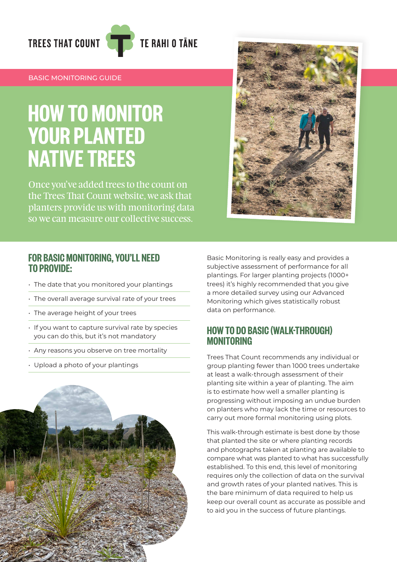

#### BASIC MONITORING GUIDE

# HOW TO MONITOR YOUR PLANTED NATIVE TREES

Once you've added trees to the count on the Trees That Count website, we ask that planters provide us with monitoring data so we can measure our collective success.



#### FOR BASIC MONITORING, YOU'LL NEED TO PROVIDE:

- The date that you monitored your plantings
- The overall average survival rate of your trees
- $\cdot$  The average height of your trees
- If you want to capture survival rate by species you can do this, but it's not mandatory
- Any reasons you observe on tree mortality
- Upload a photo of your plantings

Basic Monitoring is really easy and provides a subjective assessment of performance for all plantings. For larger planting projects (1000+ trees) it's highly recommended that you give a more detailed survey using our Advanced Monitoring which gives statistically robust data on performance.

### HOW TO DO BASIC (WALK-THROUGH) MONITORING

Trees That Count recommends any individual or group planting fewer than 1000 trees undertake at least a walk-through assessment of their planting site within a year of planting. The aim is to estimate how well a smaller planting is progressing without imposing an undue burden on planters who may lack the time or resources to carry out more formal monitoring using plots.

This walk-through estimate is best done by those that planted the site or where planting records and photographs taken at planting are available to compare what was planted to what has successfully established. To this end, this level of monitoring requires only the collection of data on the survival and growth rates of your planted natives. This is the bare minimum of data required to help us keep our overall count as accurate as possible and to aid you in the success of future plantings.